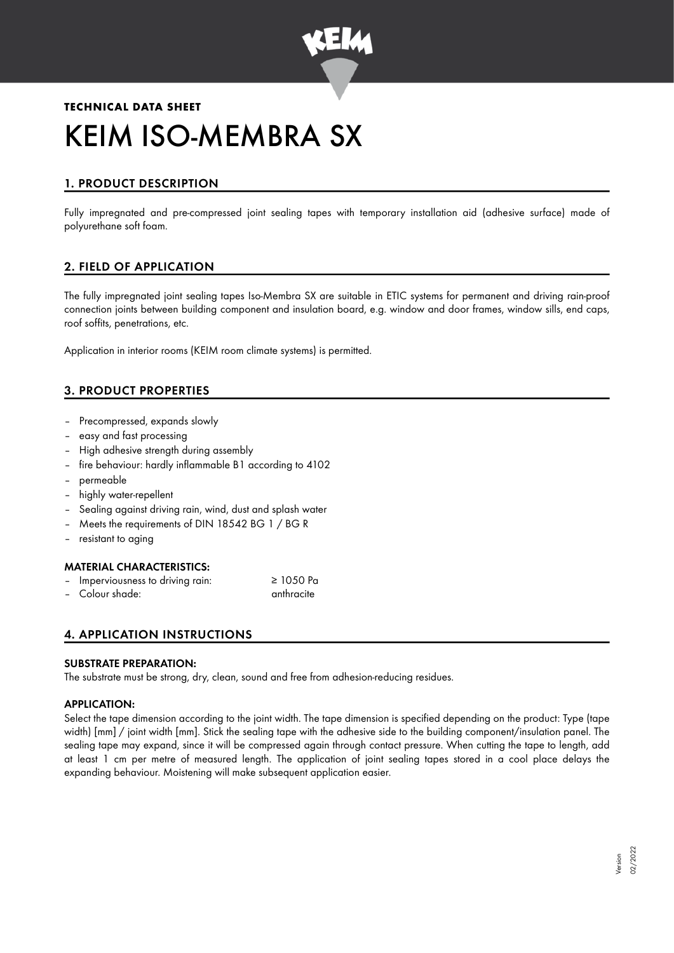

# **TECHNICAL DATA SHEET** KEIM ISO-MEMBRA SX

# 1. PRODUCT DESCRIPTION

Fully impregnated and pre-compressed joint sealing tapes with temporary installation aid (adhesive surface) made of polyurethane soft foam.

# 2. FIELD OF APPLICATION

The fully impregnated joint sealing tapes Iso-Membra SX are suitable in ETIC systems for permanent and driving rain-proof connection joints between building component and insulation board, e.g. window and door frames, window sills, end caps, roof soffits, penetrations, etc.

Application in interior rooms (KEIM room climate systems) is permitted.

# 3. PRODUCT PROPERTIES

- Precompressed, expands slowly
- easy and fast processing
- High adhesive strength during assembly
- fire behaviour: hardly inflammable B1 according to 4102
- permeable
- highly water-repellent
- Sealing against driving rain, wind, dust and splash water
- Meets the requirements of DIN 18542 BG 1 / BG R
- resistant to aging

## MATERIAL CHARACTERISTICS:

| $\sim$ | Imperviousness to driving rain: | $\geq$ 1050 Pa |
|--------|---------------------------------|----------------|
|        | - Colour shade:                 | anthracite     |

## 4. APPLICATION INSTRUCTIONS

#### SUBSTRATE PREPARATION:

The substrate must be strong, dry, clean, sound and free from adhesion-reducing residues.

## APPLICATION:

Select the tape dimension according to the joint width. The tape dimension is specified depending on the product: Type (tape width) [mm] / joint width [mm]. Stick the sealing tape with the adhesive side to the building component/insulation panel. The sealing tape may expand, since it will be compressed again through contact pressure. When cutting the tape to length, add at least 1 cm per metre of measured length. The application of joint sealing tapes stored in a cool place delays the expanding behaviour. Moistening will make subsequent application easier.